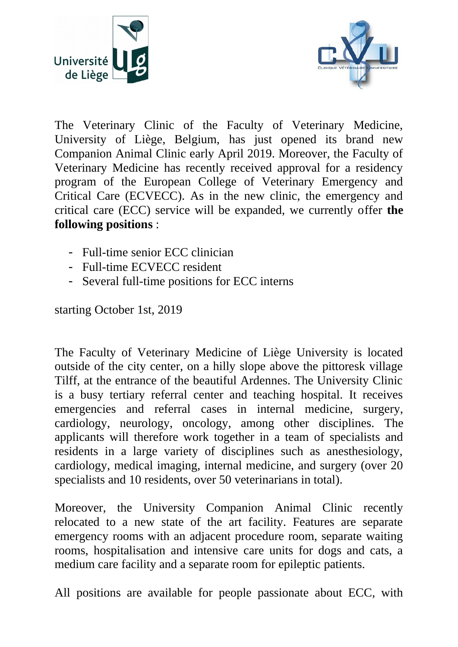



The Veterinary Clinic of the Faculty of Veterinary Medicine, University of Liège, Belgium, has just opened its brand new Companion Animal Clinic early April 2019. Moreover, the Faculty of Veterinary Medicine has recently received approval for a residency program of the European College of Veterinary Emergency and Critical Care (ECVECC). As in the new clinic, the emergency and critical care (ECC) service will be expanded, we currently offer **the following positions** :

- Full-time senior ECC clinician
- Full-time ECVECC resident
- Several full-time positions for ECC interns

starting October 1st, 2019

The Faculty of Veterinary Medicine of Liège University is located outside of the city center, on a hilly slope above the pittoresk village Tilff, at the entrance of the beautiful Ardennes. The University Clinic is a busy tertiary referral center and teaching hospital. It receives emergencies and referral cases in internal medicine, surgery, cardiology, neurology, oncology, among other disciplines. The applicants will therefore work together in a team of specialists and residents in a large variety of disciplines such as anesthesiology, cardiology, medical imaging, internal medicine, and surgery (over 20 specialists and 10 residents, over 50 veterinarians in total).

Moreover, the University Companion Animal Clinic recently relocated to a new state of the art facility. Features are separate emergency rooms with an adjacent procedure room, separate waiting rooms, hospitalisation and intensive care units for dogs and cats, a medium care facility and a separate room for epileptic patients.

All positions are available for people passionate about ECC, with